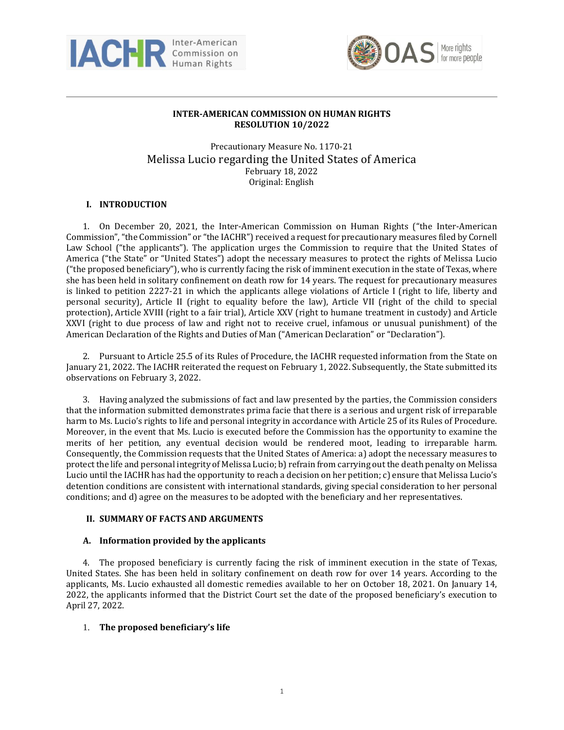



# **INTER-AMERICAN COMMISSION ON HUMAN RIGHTS RESOLUTION 10/2022**

Precautionary Measure No. 1170-21 Melissa Lucio regarding the United States of America February 18, 2022 Original: English

## **I. INTRODUCTION**

1. On December 20, 2021, the Inter-American Commission on Human Rights ("the Inter-American Commission","the Commission" or "the IACHR") received a request for precautionary measures filed by Cornell Law School ("the applicants"). The application urges the Commission to require that the United States of America ("the State" or "United States") adopt the necessary measures to protect the rights of Melissa Lucio ("the proposed beneficiary"), who is currently facing the risk of imminent execution in the state of Texas, where she has been held in solitary confinement on death row for 14 years. The request for precautionary measures is linked to petition 2227-21 in which the applicants allege violations of Article I (right to life, liberty and personal security), Article II (right to equality before the law), Article VII (right of the child to special protection), Article XVIII (right to a fair trial), Article XXV (right to humane treatment in custody) and Article XXVI (right to due process of law and right not to receive cruel, infamous or unusual punishment) of the American Declaration of the Rights and Duties of Man ("American Declaration" or "Declaration").

2. Pursuant to Article 25.5 of its Rules of Procedure, the IACHR requested information from the State on January 21, 2022. The IACHR reiterated the request on February 1, 2022. Subsequently, the State submitted its observations on February 3, 2022.

3. Having analyzed the submissions of fact and law presented by the parties, the Commission considers that the information submitted demonstrates prima facie that there is a serious and urgent risk of irreparable harm to Ms. Lucio's rights to life and personal integrity in accordance with Article 25 of its Rules of Procedure. Moreover, in the event that Ms. Lucio is executed before the Commission has the opportunity to examine the merits of her petition, any eventual decision would be rendered moot, leading to irreparable harm. Consequently, the Commission requests that the United States of America: a) adopt the necessary measures to protect the life and personal integrity of Melissa Lucio; b) refrain from carrying out the death penalty on Melissa Lucio until the IACHR has had the opportunity to reach a decision on her petition; c) ensure that Melissa Lucio's detention conditions are consistent with international standards, giving special consideration to her personal conditions; and d) agree on the measures to be adopted with the beneficiary and her representatives.

## **II. SUMMARY OF FACTS AND ARGUMENTS**

## **A. Information provided by the applicants**

4. The proposed beneficiary is currently facing the risk of imminent execution in the state of Texas, United States. She has been held in solitary confinement on death row for over 14 years. According to the applicants, Ms. Lucio exhausted all domestic remedies available to her on October 18, 2021. On January 14, 2022, the applicants informed that the District Court set the date of the proposed beneficiary's execution to April 27, 2022.

## 1. **The proposed beneficiary's life**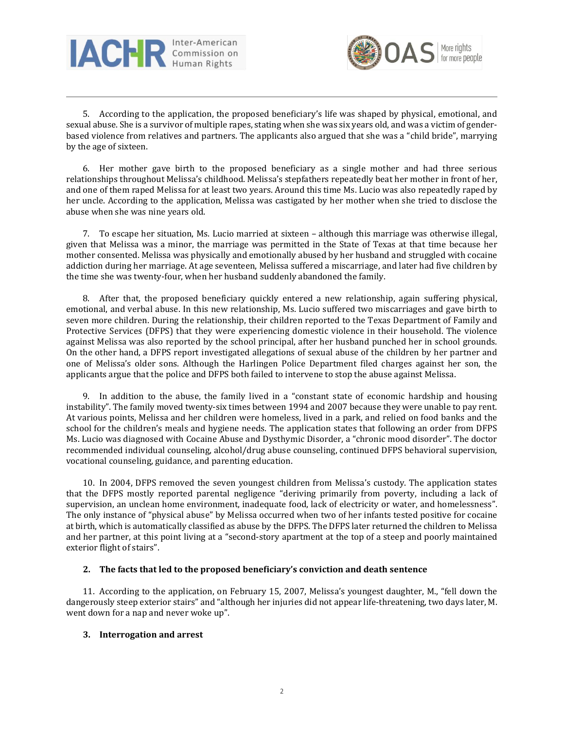



5. According to the application, the proposed beneficiary's life was shaped by physical, emotional, and sexual abuse. She is a survivor of multiple rapes, stating when she was six years old, and was a victim of genderbased violence from relatives and partners. The applicants also argued that she was a "child bride", marrying by the age of sixteen.

6. Her mother gave birth to the proposed beneficiary as a single mother and had three serious relationships throughout Melissa's childhood. Melissa's stepfathers repeatedly beat her mother in front of her, and one of them raped Melissa for at least two years. Around this time Ms. Lucio was also repeatedly raped by her uncle. According to the application, Melissa was castigated by her mother when she tried to disclose the abuse when she was nine years old.

7. To escape her situation, Ms. Lucio married at sixteen – although this marriage was otherwise illegal, given that Melissa was a minor, the marriage was permitted in the State of Texas at that time because her mother consented. Melissa was physically and emotionally abused by her husband and struggled with cocaine addiction during her marriage. At age seventeen, Melissa suffered a miscarriage, and later had five children by the time she was twenty-four, when her husband suddenly abandoned the family.

8. After that, the proposed beneficiary quickly entered a new relationship, again suffering physical, emotional, and verbal abuse. In this new relationship, Ms. Lucio suffered two miscarriages and gave birth to seven more children. During the relationship, their children reported to the Texas Department of Family and Protective Services (DFPS) that they were experiencing domestic violence in their household. The violence against Melissa was also reported by the school principal, after her husband punched her in school grounds. On the other hand, a DFPS report investigated allegations of sexual abuse of the children by her partner and one of Melissa's older sons. Although the Harlingen Police Department filed charges against her son, the applicants argue that the police and DFPS both failed to intervene to stop the abuse against Melissa.

9. In addition to the abuse, the family lived in a "constant state of economic hardship and housing instability". The family moved twenty-six times between 1994 and 2007 because they were unable to pay rent. At various points, Melissa and her children were homeless, lived in a park, and relied on food banks and the school for the children's meals and hygiene needs. The application states that following an order from DFPS Ms. Lucio was diagnosed with Cocaine Abuse and Dysthymic Disorder, a "chronic mood disorder". The doctor recommended individual counseling, alcohol/drug abuse counseling, continued DFPS behavioral supervision, vocational counseling, guidance, and parenting education.

10. In 2004, DFPS removed the seven youngest children from Melissa's custody. The application states that the DFPS mostly reported parental negligence "deriving primarily from poverty, including a lack of supervision, an unclean home environment, inadequate food, lack of electricity or water, and homelessness". The only instance of "physical abuse" by Melissa occurred when two of her infants tested positive for cocaine at birth, which is automatically classified as abuse by the DFPS. The DFPS later returned the children to Melissa and her partner, at this point living at a "second-story apartment at the top of a steep and poorly maintained exterior flight of stairs".

## **2. The facts that led to the proposed beneficiary's conviction and death sentence**

11. According to the application, on February 15, 2007, Melissa's youngest daughter, M., "fell down the dangerously steep exterior stairs" and "although her injuries did not appear life-threatening, two days later, M. went down for a nap and never woke up".

#### **3. Interrogation and arrest**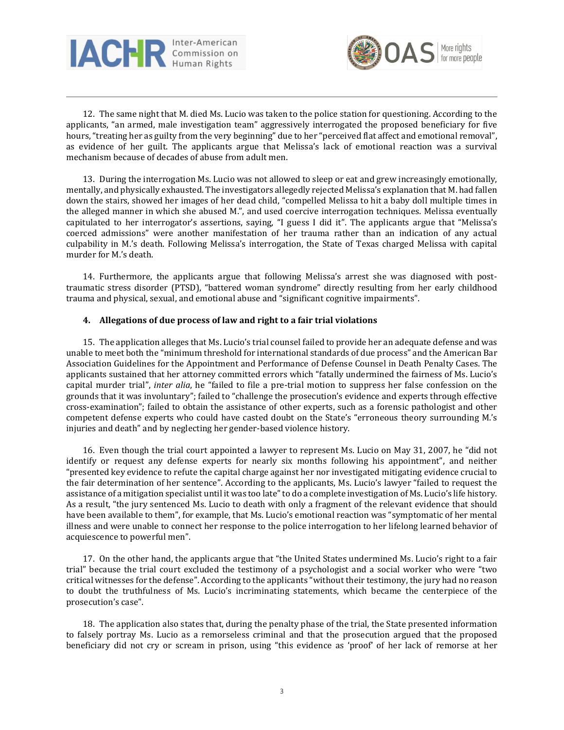



12. The same night that M. died Ms. Lucio was taken to the police station for questioning. According to the applicants, "an armed, male investigation team" aggressively interrogated the proposed beneficiary for five hours, "treating her as guilty from the very beginning" due to her "perceived flat affect and emotional removal", as evidence of her guilt. The applicants argue that Melissa's lack of emotional reaction was a survival mechanism because of decades of abuse from adult men.

13. During the interrogation Ms. Lucio was not allowed to sleep or eat and grew increasingly emotionally, mentally, and physically exhausted. The investigators allegedly rejected Melissa's explanation that M. had fallen down the stairs, showed her images of her dead child, "compelled Melissa to hit a baby doll multiple times in the alleged manner in which she abused M.", and used coercive interrogation techniques. Melissa eventually capitulated to her interrogator's assertions, saying, "I guess I did it". The applicants argue that "Melissa's coerced admissions" were another manifestation of her trauma rather than an indication of any actual culpability in M.'s death. Following Melissa's interrogation, the State of Texas charged Melissa with capital murder for M.'s death.

14. Furthermore, the applicants argue that following Melissa's arrest she was diagnosed with posttraumatic stress disorder (PTSD), "battered woman syndrome" directly resulting from her early childhood trauma and physical, sexual, and emotional abuse and "significant cognitive impairments".

#### **4. Allegations of due process of law and right to a fair trial violations**

15. The application alleges that Ms. Lucio's trial counsel failed to provide her an adequate defense and was unable to meet both the "minimum threshold for international standards of due process" and the American Bar Association Guidelines for the Appointment and Performance of Defense Counsel in Death Penalty Cases. The applicants sustained that her attorney committed errors which "fatally undermined the fairness of Ms. Lucio's capital murder trial", *inter alia*, he "failed to file a pre-trial motion to suppress her false confession on the grounds that it was involuntary"; failed to "challenge the prosecution's evidence and experts through effective cross-examination"; failed to obtain the assistance of other experts, such as a forensic pathologist and other competent defense experts who could have casted doubt on the State's "erroneous theory surrounding M.'s injuries and death" and by neglecting her gender-based violence history.

16. Even though the trial court appointed a lawyer to represent Ms. Lucio on May 31, 2007, he "did not identify or request any defense experts for nearly six months following his appointment", and neither "presented key evidence to refute the capital charge against her nor investigated mitigating evidence crucial to the fair determination of her sentence". According to the applicants, Ms. Lucio's lawyer "failed to request the assistance of a mitigation specialist until it was too late"to do a complete investigation of Ms. Lucio's life history. As a result, "the jury sentenced Ms. Lucio to death with only a fragment of the relevant evidence that should have been available to them", for example, that Ms. Lucio's emotional reaction was "symptomatic of her mental illness and were unable to connect her response to the police interrogation to her lifelong learned behavior of acquiescence to powerful men".

17. On the other hand, the applicants argue that "the United States undermined Ms. Lucio's right to a fair trial" because the trial court excluded the testimony of a psychologist and a social worker who were "two critical witnesses for the defense". According to the applicants "without their testimony, the jury had no reason to doubt the truthfulness of Ms. Lucio's incriminating statements, which became the centerpiece of the prosecution's case".

18. The application also states that, during the penalty phase of the trial, the State presented information to falsely portray Ms. Lucio as a remorseless criminal and that the prosecution argued that the proposed beneficiary did not cry or scream in prison, using "this evidence as 'proof' of her lack of remorse at her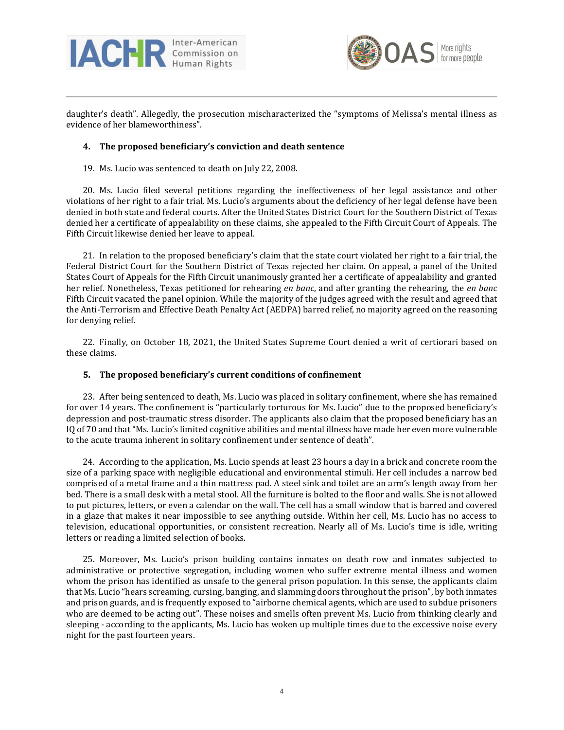



daughter's death". Allegedly, the prosecution mischaracterized the "symptoms of Melissa's mental illness as evidence of her blameworthiness".

### **4. The proposed beneficiary's conviction and death sentence**

19. Ms. Lucio was sentenced to death on July 22, 2008.

20. Ms. Lucio filed several petitions regarding the ineffectiveness of her legal assistance and other violations of her right to a fair trial. Ms. Lucio's arguments about the deficiency of her legal defense have been denied in both state and federal courts. After the United States District Court for the Southern District of Texas denied her a certificate of appealability on these claims, she appealed to the Fifth Circuit Court of Appeals. The Fifth Circuit likewise denied her leave to appeal.

21. In relation to the proposed beneficiary's claim that the state court violated her right to a fair trial, the Federal District Court for the Southern District of Texas rejected her claim. On appeal, a panel of the United States Court of Appeals for the Fifth Circuit unanimously granted her a certificate of appealability and granted her relief. Nonetheless, Texas petitioned for rehearing *en banc*, and after granting the rehearing, the *en banc* Fifth Circuit vacated the panel opinion. While the majority of the judges agreed with the result and agreed that the Anti-Terrorism and Effective Death Penalty Act (AEDPA) barred relief, no majority agreed on the reasoning for denying relief.

22. Finally, on October 18, 2021, the United States Supreme Court denied a writ of certiorari based on these claims.

## **5. The proposed beneficiary's current conditions of confinement**

23. After being sentenced to death, Ms. Lucio was placed in solitary confinement, where she has remained for over 14 years. The confinement is "particularly torturous for Ms. Lucio" due to the proposed beneficiary's depression and post-traumatic stress disorder. The applicants also claim that the proposed beneficiary has an IQ of 70 and that "Ms. Lucio's limited cognitive abilities and mental illness have made her even more vulnerable to the acute trauma inherent in solitary confinement under sentence of death".

24. According to the application, Ms. Lucio spends at least 23 hours a day in a brick and concrete room the size of a parking space with negligible educational and environmental stimuli. Her cell includes a narrow bed comprised of a metal frame and a thin mattress pad. A steel sink and toilet are an arm's length away from her bed. There is a small desk with a metal stool. All the furniture is bolted to the floor and walls. She is not allowed to put pictures, letters, or even a calendar on the wall. The cell has a small window that is barred and covered in a glaze that makes it near impossible to see anything outside. Within her cell, Ms. Lucio has no access to television, educational opportunities, or consistent recreation. Nearly all of Ms. Lucio's time is idle, writing letters or reading a limited selection of books.

25. Moreover, Ms. Lucio's prison building contains inmates on death row and inmates subjected to administrative or protective segregation, including women who suffer extreme mental illness and women whom the prison has identified as unsafe to the general prison population. In this sense, the applicants claim that Ms. Lucio "hears screaming, cursing, banging, and slamming doors throughout the prison", by both inmates and prison guards, and is frequently exposed to "airborne chemical agents, which are used to subdue prisoners who are deemed to be acting out". These noises and smells often prevent Ms. Lucio from thinking clearly and sleeping - according to the applicants, Ms. Lucio has woken up multiple times due to the excessive noise every night for the past fourteen years.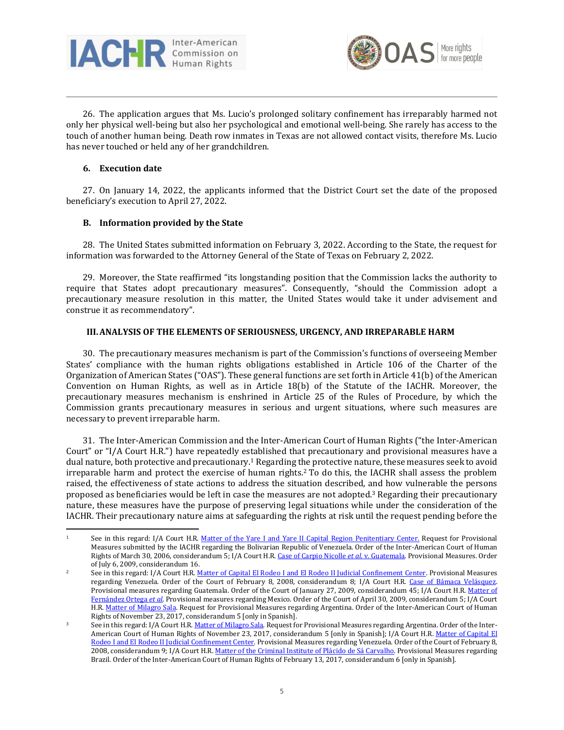



26. The application argues that Ms. Lucio's prolonged solitary confinement has irreparably harmed not only her physical well-being but also her psychological and emotional well-being. She rarely has access to the touch of another human being. Death row inmates in Texas are not allowed contact visits, therefore Ms. Lucio has never touched or held any of her grandchildren.

#### **6. Execution date**

27. On January 14, 2022, the applicants informed that the District Court set the date of the proposed beneficiary's execution to April 27, 2022.

## **B. Information provided by the State**

28. The United States submitted information on February 3, 2022. According to the State, the request for information was forwarded to the Attorney General of the State of Texas on February 2, 2022.

29. Moreover, the State reaffirmed "its longstanding position that the Commission lacks the authority to require that States adopt precautionary measures". Consequently, "should the Commission adopt a precautionary measure resolution in this matter, the United States would take it under advisement and construe it as recommendatory".

#### **III.ANALYSIS OF THE ELEMENTS OF SERIOUSNESS, URGENCY, AND IRREPARABLE HARM**

30. The precautionary measures mechanism is part of the Commission's functions of overseeing Member States' compliance with the human rights obligations established in Article 106 of the Charter of the Organization of American States ("OAS"). These general functions are set forth in Article 41(b) of the American Convention on Human Rights, as well as in Article 18(b) of the Statute of the IACHR. Moreover, the precautionary measures mechanism is enshrined in Article 25 of the Rules of Procedure, by which the Commission grants precautionary measures in serious and urgent situations, where such measures are necessary to prevent irreparable harm.

31. The Inter-American Commission and the Inter-American Court of Human Rights ("the Inter-American Court" or "I/A Court H.R.") have repeatedly established that precautionary and provisional measures have a dual nature, both protective and precautionary.<sup>1</sup> Regarding the protective nature, these measures seek to avoid irreparable harm and protect the exercise of human rights.<sup>2</sup> To do this, the IACHR shall assess the problem raised, the effectiveness of state actions to address the situation described, and how vulnerable the persons proposed as beneficiaries would be left in case the measures are not adopted.<sup>3</sup> Regarding their precautionary nature, these measures have the purpose of preserving legal situations while under the consideration of the IACHR. Their precautionary nature aims at safeguarding the rights at risk until the request pending before the

<sup>&</sup>lt;sup>1</sup> See in this regard: I/A Court H.R. Matter of the Yare I and Yare II Capital Region [Penitentiary](https://www.corteidh.or.cr/corteidh/docs/medidas/penitenciarioregion_se_01_ing.pdf) Center. Request for Provisional Measures submitted by the IACHR regarding the Bolivarian Republic of Venezuela. Order of the Inter-American Court of Human Rights of March 30, 2006, considerandum 5; I/A Court H.R. Case of Carpio Nicolle *et al*. v. [Guatemala.](https://www.corteidh.or.cr/corteidh/docs/medidas/carpio_se_14_ing.pdf) Provisional Measures. Order of July 6, 2009, considerandum 16.

See in this regard: I/A Court H.R. Matter of Capital El Rodeo I and El Rodeo II Judicial [Confinement](https://www.corteidh.or.cr/docs/medidas/rodeo_se_01_ing.pdf) Center. Provisional Measures regarding Venezuela. Order of the Court of February 8, 2008, considerandum 8; I/A Court H.R. Case of Bámaca [Velásquez.](https://www.corteidh.or.cr/docs/medidas/bamaca_se_10_ing.pdf) Provisional measures regarding Guatemala. Order of the Court of January 27, 2009, considerandum 45; I/A Court H.R. [Matter](https://www.corteidh.or.cr/docs/medidas/fernandez_se_02_ing.pdf) of [Fernández](https://www.corteidh.or.cr/docs/medidas/fernandez_se_02_ing.pdf) Ortega *et al*. Provisional measures regarding Mexico. Order of the Court of April 30, 2009, considerandum 5; I/A Court H.R. Matter of [Milagro](https://www.corteidh.or.cr/docs/medidas/sala_se_01.pdf) Sala. Request for Provisional Measures regarding Argentina. Order of the Inter-American Court of Human Rights of November 23, 2017, considerandum 5 [only in Spanish].

See in this regard: I/A Court H.R. Matter of [Milagro](https://www.corteidh.or.cr/docs/medidas/sala_se_01.pdf) Sala. Request for Provisional Measures regarding Argentina. Order of the Inter-American Court of Human Rights of November 23, 2017, considerandum 5 [only in Spanish]; I/A Court H.R. Matter of [Capital](https://www.corteidh.or.cr/docs/medidas/rodeo_se_01_ing.pdf) El Rodeo I and El Rodeo II Judicial [Confinement](https://www.corteidh.or.cr/docs/medidas/rodeo_se_01_ing.pdf) Center. Provisional Measures regarding Venezuela. Order of the Court of February 8, 2008, considerandum 9; I/A Court H.R. Matter of the Criminal Institute of Plácido de Sá [Carvalho.](https://www.corteidh.or.cr/docs/medidas/placido_se_01.pdf) Provisional Measures regarding Brazil. Order of the Inter-American Court of Human Rights of February 13, 2017, considerandum 6 [only in Spanish].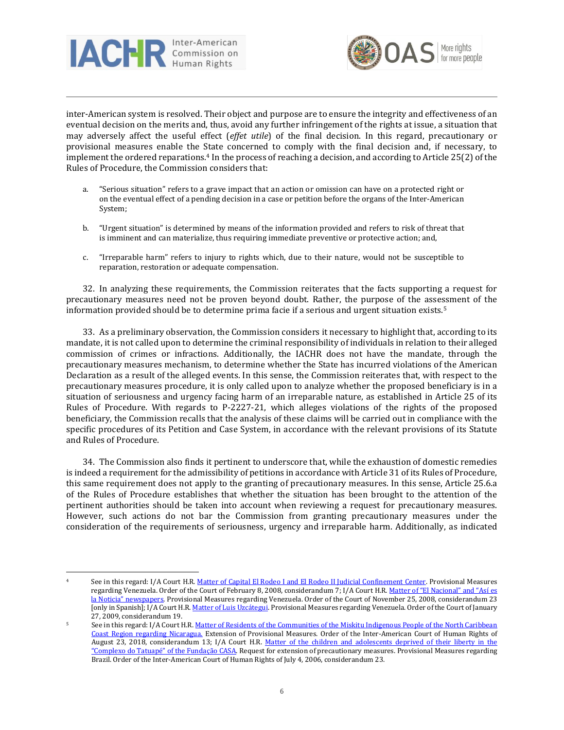



inter-American system is resolved. Their object and purpose are to ensure the integrity and effectiveness of an eventual decision on the merits and, thus, avoid any further infringement of the rights at issue, a situation that may adversely affect the useful effect (*effet utile*) of the final decision. In this regard, precautionary or provisional measures enable the State concerned to comply with the final decision and, if necessary, to implement the ordered reparations.<sup>4</sup> In the process of reaching a decision, and according to Article 25(2) of the Rules of Procedure, the Commission considers that:

- a. "Serious situation" refers to a grave impact that an action or omission can have on a protected right or on the eventual effect of a pending decision in a case or petition before the organs of the Inter-American System;
- b. "Urgent situation" is determined by means of the information provided and refers to risk of threat that is imminent and can materialize, thus requiring immediate preventive or protective action; and,
- c. "Irreparable harm" refers to injury to rights which, due to their nature, would not be susceptible to reparation, restoration or adequate compensation.

32. In analyzing these requirements, the Commission reiterates that the facts supporting a request for precautionary measures need not be proven beyond doubt. Rather, the purpose of the assessment of the information provided should be to determine prima facie if a serious and urgent situation exists.<sup>5</sup>

33. As a preliminary observation, the Commission considers it necessary to highlight that, according to its mandate, it is not called upon to determine the criminal responsibility of individuals in relation to their alleged commission of crimes or infractions. Additionally, the IACHR does not have the mandate, through the precautionary measures mechanism, to determine whether the State has incurred violations of the American Declaration as a result of the alleged events. In this sense, the Commission reiterates that, with respect to the precautionary measures procedure, it is only called upon to analyze whether the proposed beneficiary is in a situation of seriousness and urgency facing harm of an irreparable nature, as established in Article 25 of its Rules of Procedure. With regards to P-2227-21, which alleges violations of the rights of the proposed beneficiary, the Commission recalls that the analysis of these claims will be carried out in compliance with the specific procedures of its Petition and Case System, in accordance with the relevant provisions of its Statute and Rules of Procedure.

34. The Commission also finds it pertinent to underscore that, while the exhaustion of domestic remedies is indeed a requirement for the admissibility of petitions in accordance with Article 31 of its Rules of Procedure, this same requirement does not apply to the granting of precautionary measures. In this sense, Article 25.6.a of the Rules of Procedure establishes that whether the situation has been brought to the attention of the pertinent authorities should be taken into account when reviewing a request for precautionary measures. However, such actions do not bar the Commission from granting precautionary measures under the consideration of the requirements of seriousness, urgency and irreparable harm. Additionally, as indicated

See in this regard: I/A Court H.R. Matter of Capital El Rodeo I and El Rodeo II Judicial [Confinement](https://www.corteidh.or.cr/docs/medidas/rodeo_se_01_ing.pdf) Center. Provisional Measures regarding Venezuela. Order of the Court of February 8, 2008, considerandum 7; I/A Court H.R. Matter of "El [Nacional"](https://www.corteidh.or.cr/docs/medidas/elnacional_se_02.pdf) and "Así es la Noticia" [newspapers.](https://www.corteidh.or.cr/docs/medidas/elnacional_se_02.pdf) Provisional Measures regarding Venezuela. Order of the Court of November 25, 2008, considerandum 23 [only in Spanish]; I/A Court H.R. Matter of Luis [Uzcátegui.](https://www.corteidh.or.cr/docs/medidas/uzcategui_se_04_ing.pdf) Provisional Measures regarding Venezuela. Order of the Court of January 27, 2009, considerandum 19.

<sup>5</sup> See in this regard: I/A Court H.R. Matter of Residents of the [Communities](https://www.corteidh.or.cr/docs/medidas/miskitu_se_05.pdf) of the Miskitu Indigenous People of the North Caribbean Coast Region regarding [Nicaragua.](https://www.corteidh.or.cr/docs/medidas/miskitu_se_05.pdf) Extension of Provisional Measures. Order of the Inter-American Court of Human Rights of August 23, 2018, considerandum 13; I/A Court H.R. Matter of the children and [adolescents](http://www.corteidh.or.cr/docs/medidas/febem_se_03.pdf) deprived of their liberty in the ["Complexo](http://www.corteidh.or.cr/docs/medidas/febem_se_03.pdf) do Tatuapé" of the Fundação CASA. Request for extension of precautionary measures. Provisional Measures regarding Brazil. Order of the Inter-American Court of Human Rights of July 4, 2006, considerandum 23.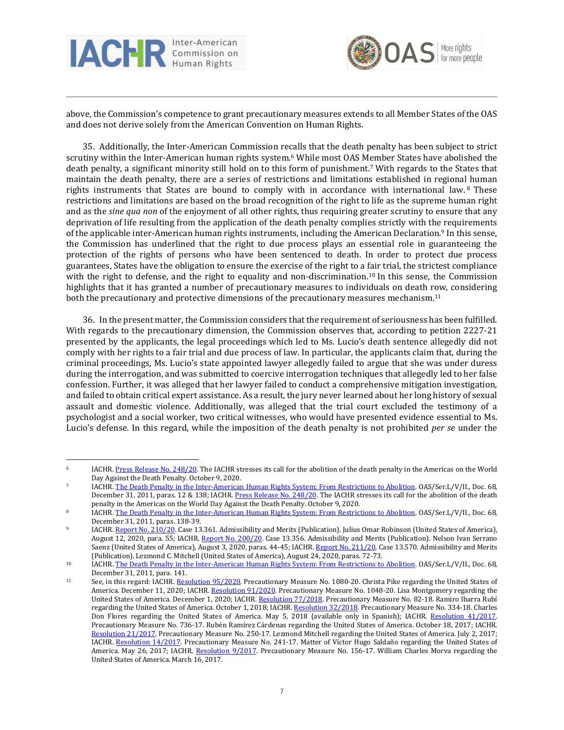



above, the Commission's competence to grant precautionary measures extends to all Member States of the OAS and does not derive solely from the American Convention on Human Rights.

35. Additionally, the Inter-American Commission recalls that the death penalty has been subject to strict scrutiny within the Inter-American human rights system.<sup>6</sup> While most OAS Member States have abolished the death penalty, a significant minority still hold on to this form of punishment.<sup>7</sup> With regards to the States that maintain the death penalty, there are a series of restrictions and limitations established in regional human rights instruments that States are bound to comply with in accordance with international law. <sup>8</sup> These restrictions and limitations are based on the broad recognition of the right to life as the supreme human right and as the *sine qua non* of the enjoyment of all other rights, thus requiring greater scrutiny to ensure that any deprivation of life resulting from the application of the death penalty complies strictly with the requirements of the applicable inter-American human rights instruments, including the American Declaration.<sup>9</sup> In this sense, the Commission has underlined that the right to due process plays an essential role in guaranteeing the protection of the rights of persons who have been sentenced to death. In order to protect due process guarantees, States have the obligation to ensure the exercise of the right to a fair trial, the strictest compliance with the right to defense, and the right to equality and non-discrimination.<sup>10</sup> In this sense, the Commission highlights that it has granted a number of precautionary measures to individuals on death row, considering both the precautionary and protective dimensions of the precautionary measures mechanism.<sup>11</sup>

36. In the present matter, the Commission considers that the requirement of seriousness has been fulfilled. With regards to the precautionary dimension, the Commission observes that, according to petition 2227-21 presented by the applicants, the legal proceedings which led to Ms. Lucio's death sentence allegedly did not comply with her rights to a fair trial and due process of law. In particular, the applicants claim that, during the criminal proceedings, Ms. Lucio's state appointed lawyer allegedly failed to argue that she was under duress during the interrogation, and was submitted to coercive interrogation techniques that allegedly led to her false confession. Further, it was alleged that her lawyer failed to conduct a comprehensive mitigation investigation, and failed to obtain critical expert assistance. As a result, the jury never learned about her long history of sexual assault and domestic violence. Additionally, was alleged that the trial court excluded the testimony of a psychologist and a social worker, two critical witnesses, who would have presented evidence essential to Ms. Lucio's defense. In this regard, while the imposition of the death penalty is not prohibited *per se* under the

<sup>&</sup>lt;sup>6</sup> IACHR. Press Release No. [248/20.](http://www.oas.org/en/iachr/media_center/PReleases/2020/248.asp) The IACHR stresses its call for the abolition of the death penalty in the Americas on the World Day Against the Death Penalty. October 9, 2020.

<sup>&</sup>lt;sup>7</sup> IACHR. The Death Penalty in the [Inter-American](http://www.oas.org/en/iachr/docs/pdf/deathpenalty.pdf) Human Rights System: From Restrictions to Abolition. OAS/Ser.L/V/II., Doc. 68, December 31, 2011, paras. 12 & 138; IACHR. Press Release No. [248/20.](http://www.oas.org/en/iachr/media_center/PReleases/2020/248.asp) The IACHR stresses its call for the abolition of the death penalty in the Americas on the World Day Against the Death Penalty. October 9, 2020.

<sup>8</sup> IACHR. The Death Penalty in the [Inter-American](http://www.oas.org/en/iachr/docs/pdf/deathpenalty.pdf) Human Rights System: From Restrictions to Abolition. OAS/Ser.L/V/II., Doc. 68, December 31, 2011, paras. 138-39.

<sup>9</sup> IACHR. Report No. [210/20.](http://www.oas.org/en/iachr/decisions/2020/USad13361EN.pdf) Case 13.361. Admissibility and Merits (Publication). Julius Omar Robinson (United States of America), August 12, 2020, para. 55; IACHR. Report No. [200/20.](http://www.oas.org/en/iachr/decisions/2020/USad13356en.pdf) Case 13.356. Admissibility and Merits (Publication). Nelson Ivan Serrano Saenz (United States of America), August 3, 2020, paras. 44-45; IACHR. Report No. [211/20.](http://www.oas.org/en/iachr/decisions/2020/USAD13570EN.pdf) Case 13.570. Admissibility and Merits (Publication). Lezmond C. Mitchell (United States of America), August 24, 2020, paras. 72-73.

<sup>&</sup>lt;sup>10</sup> IACHR. The Death Penalty in the [Inter-American](http://www.oas.org/en/iachr/docs/pdf/deathpenalty.pdf) Human Rights System: From Restrictions to Abolition. OAS/Ser.L/V/II., Doc. 68, December 31, 2011, para. 141.

<sup>11</sup> See, in this regard: IACHR. [Resolution](http://www.oas.org/en/iachr/decisions/pdf/2020/res_95_mc-1080-20_us_en.pdf) 95/2020. Precautionary Measure No. 1080-20. Christa Pike regarding the United States of America. December 11, 2020; IACHR. [Resolution](http://www.oas.org/en/iachr/decisions/pdf/2020/91-20mc1048-20-us.pdf) 91/2020. Precautionary Measure No. 1048-20. Lisa Montgomery regarding the United States of America. December 1, 2020; IACHR. [Resolution](http://www.oas.org/en/iachr/decisions/pdf/2018/77-18MC82-18-US-english.pdf) 77/2018. Precautionary Measure No. 82-18. Ramiro Ibarra Rubí regarding the United States of America. October 1, 2018; IACHR. [Resolution](http://www.oas.org/es/cidh/decisiones/pdf/2018/32-18MC334-18-EU.pdf) 32/2018. Precautionary Measure No. 334-18. Charles Don Flores regarding the United States of America. May 5, 2018 (available only in Spanish); IACHR. [Resolution](http://www.oas.org/es/cidh/decisiones/pdf/2017/41-17MC736-17US.pdf) 41/2017. Precautionary Measure No. 736-17. Rubén Ramírez Cárdenas regarding the United States of America. October 18, 2017; IACHR. [Resolution](http://www.oas.org/en/iachr/decisions/pdf/2017/21-17MC250-17-US-EN.docx) 21/2017. Precautionary Measure No. 250-17. Lezmond Mitchell regarding the United States of America. July 2, 2017; IACHR. [Resolution](http://www.oas.org/en/iachr/decisions/pdf/2017/14-17MC241-17-US-EN.pdf) 14/2017. Precautionary Measure No. 241-17. Matter of Víctor Hugo Saldaño regarding the United States of America. May 26, 2017; IACHR. [Resolution](http://www.oas.org/es/cidh/decisiones/pdf/2017/9-17MC156-17-US.pdf) 9/2017. Precautionary Measure No. 156-17. William Charles Morva regarding the United States of America. March 16, 2017.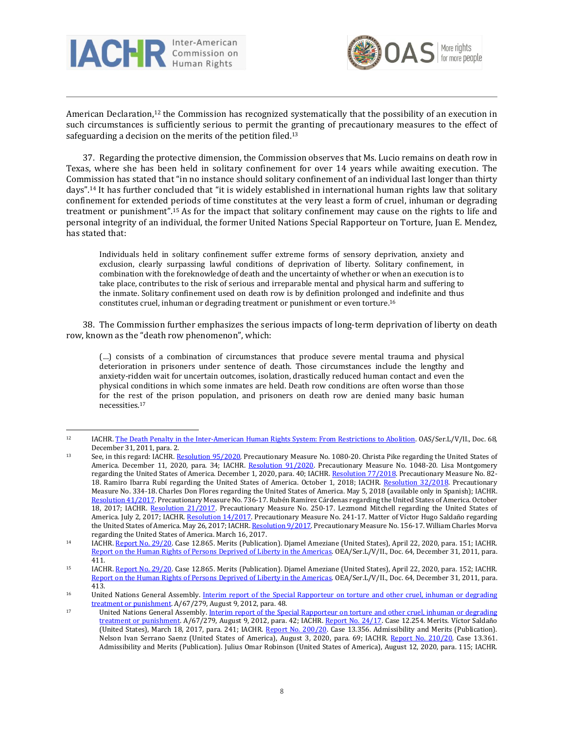



American Declaration,<sup>12</sup> the Commission has recognized systematically that the possibility of an execution in such circumstances is sufficiently serious to permit the granting of precautionary measures to the effect of safeguarding a decision on the merits of the petition filed.<sup>13</sup>

37. Regarding the protective dimension, the Commission observes that Ms. Lucio remains on death row in Texas, where she has been held in solitary confinement for over 14 years while awaiting execution. The Commission has stated that "in no instance should solitary confinement of an individual last longer than thirty days". <sup>14</sup> It has further concluded that "it is widely established in international human rights law that solitary confinement for extended periods of time constitutes at the very least a form of cruel, inhuman or degrading treatment or punishment".<sup>15</sup> As for the impact that solitary confinement may cause on the rights to life and personal integrity of an individual, the former United Nations Special Rapporteur on Torture, Juan E. Mendez, has stated that:

Individuals held in solitary confinement suffer extreme forms of sensory deprivation, anxiety and exclusion, clearly surpassing lawful conditions of deprivation of liberty. Solitary confinement, in combination with the foreknowledge of death and the uncertainty of whether or when an execution is to take place, contributes to the risk of serious and irreparable mental and physical harm and suffering to the inmate. Solitary confinement used on death row is by definition prolonged and indefinite and thus constitutes cruel, inhuman or degrading treatment or punishment or even torture.<sup>16</sup>

38. The Commission further emphasizes the serious impacts of long-term deprivation of liberty on death row, known as the "death row phenomenon", which:

(…) consists of a combination of circumstances that produce severe mental trauma and physical deterioration in prisoners under sentence of death. Those circumstances include the lengthy and anxiety-ridden wait for uncertain outcomes, isolation, drastically reduced human contact and even the physical conditions in which some inmates are held. Death row conditions are often worse than those for the rest of the prison population, and prisoners on death row are denied many basic human necessities.<sup>17</sup>

<sup>12</sup> IACHR. The Death Penalty in the [Inter-American](http://www.oas.org/en/iachr/docs/pdf/deathpenalty.pdf) Human Rights System: From Restrictions to Abolition. OAS/Ser.L/V/II., Doc. 68, December 31, 2011, para. 2.

<sup>13</sup> See, in this regard: IACHR. [Resolution](http://www.oas.org/en/iachr/decisions/pdf/2020/res_95_mc-1080-20_us_en.pdf) 95/2020. Precautionary Measure No. 1080-20. Christa Pike regarding the United States of America. December 11, 2020, para. 34; IACHR. [Resolution](http://www.oas.org/en/iachr/decisions/pdf/2020/91-20mc1048-20-us.pdf) 91/2020. Precautionary Measure No. 1048-20. Lisa Montgomery regarding the United States of America. December 1, 2020, para. 40; IACHR. [Resolution](http://www.oas.org/en/iachr/decisions/pdf/2018/77-18MC82-18-US-english.pdf) 77/2018. Precautionary Measure No. 82-18. Ramiro Ibarra Rubí regarding the United States of America. October 1, 2018; IACHR. [Resolution](http://www.oas.org/es/cidh/decisiones/pdf/2018/32-18MC334-18-EU.pdf) 32/2018. Precautionary Measure No. 334-18. Charles Don Flores regarding the United States of America. May 5, 2018 (available only in Spanish); IACHR. [Resolution](http://www.oas.org/es/cidh/decisiones/pdf/2017/41-17MC736-17US.pdf) 41/2017. Precautionary Measure No. 736-17. Rubén Ramírez Cárdenas regarding the United States of America. October 18, 2017; IACHR. [Resolution](http://www.oas.org/en/iachr/decisions/pdf/2017/21-17MC250-17-US-EN.docx) 21/2017. Precautionary Measure No. 250-17. Lezmond Mitchell regarding the United States of America. July 2, 2017; IACHR. [Resolution](http://www.oas.org/en/iachr/decisions/pdf/2017/14-17MC241-17-US-EN.pdf) 14/2017. Precautionary Measure No. 241-17. Matter of Víctor Hugo Saldaño regarding the United States of America. May 26, 2017; IACHR. [Resolution](http://www.oas.org/es/cidh/decisiones/pdf/2017/9-17MC156-17-US.pdf) 9/2017. Precautionary Measure No. 156-17. William Charles Morva regarding the United States of America. March 16, 2017.

<sup>14</sup> IACHR. [Report](http://www.oas.org/en/iachr/decisions/2020/uspu12865en.pdf) No. 29/20. Case 12.865. Merits (Publication). Djamel Ameziane (United States), April 22, 2020, para. 151; IACHR. Report on the Human Rights of Persons Deprived of Liberty in the [Americas.](http://www.oas.org/en/iachr/pdl/docs/pdf/PPL2011eng.pdf) OEA/Ser.L/V/II., Doc. 64, December 31, 2011, para. 411.

<sup>15</sup> IACHR. [Report](http://www.oas.org/en/iachr/decisions/2020/uspu12865en.pdf) No. 29/20. Case 12.865. Merits (Publication). Djamel Ameziane (United States), April 22, 2020, para. 152; IACHR. Report on the Human Rights of Persons Deprived of Liberty in the [Americas.](http://www.oas.org/en/iachr/pdl/docs/pdf/PPL2011eng.pdf) OEA/Ser.L/V/II., Doc. 64, December 31, 2011, para. 413.

<sup>&</sup>lt;sup>16</sup> United Nations General Assembly. Interim report of the Special [Rapporteur](https://undocs.org/A/67/279) on torture and other cruel, inhuman or degrading treatment or [punishment.](https://undocs.org/A/67/279) A/67/279, August 9, 2012, para. 48.

<sup>17</sup> United Nations General Assembly. Interim report of the Special [Rapporteur](https://undocs.org/A/67/279) on torture and other cruel, inhuman or degrading treatment or [punishment.](https://undocs.org/A/67/279) A/67/279, August 9, 2012, para. 42; IACHR. [Report](http://www.oas.org/en/iachr/decisions/2017/USPU12254EN.pdf) No. 24/17. Case 12.254. Merits. Víctor Saldaño (United States), March 18, 2017, para. 241; IACHR. Report No. [200/20.](http://www.oas.org/en/iachr/decisions/2020/USad13356en.pdf) Case 13.356. Admissibility and Merits (Publication). Nelson Ivan Serrano Saenz (United States of America), August 3, 2020, para. 69; IACHR. Report No. [210/20.](http://www.oas.org/en/iachr/decisions/2020/USad13361EN.pdf) Case 13.361. Admissibility and Merits (Publication). Julius Omar Robinson (United States of America), August 12, 2020, para. 115; IACHR.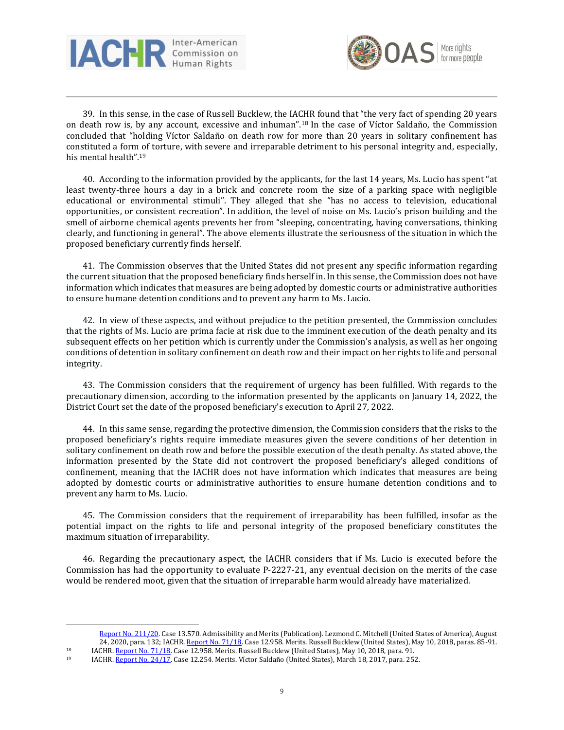



39. In this sense, in the case of Russell Bucklew, the IACHR found that "the very fact of spending 20 years on death row is, by any account, excessive and inhuman".<sup>18</sup> In the case of Víctor Saldaño, the Commission concluded that "holding Víctor Saldaño on death row for more than 20 years in solitary confinement has constituted a form of torture, with severe and irreparable detriment to his personal integrity and, especially, his mental health".<sup>19</sup>

40. According to the information provided by the applicants, for the last 14 years, Ms. Lucio has spent "at least twenty-three hours a day in a brick and concrete room the size of a parking space with negligible educational or environmental stimuli". They alleged that she "has no access to television, educational opportunities, or consistent recreation". In addition, the level of noise on Ms. Lucio's prison building and the smell of airborne chemical agents prevents her from "sleeping, concentrating, having conversations, thinking clearly, and functioning in general". The above elements illustrate the seriousness of the situation in which the proposed beneficiary currently finds herself.

41. The Commission observes that the United States did not present any specific information regarding the current situation that the proposed beneficiary finds herself in. In this sense, the Commission does not have information which indicates that measures are being adopted by domestic courts or administrative authorities to ensure humane detention conditions and to prevent any harm to Ms. Lucio.

42. In view of these aspects, and without prejudice to the petition presented, the Commission concludes that the rights of Ms. Lucio are prima facie at risk due to the imminent execution of the death penalty and its subsequent effects on her petition which is currently under the Commission's analysis, as well as her ongoing conditions of detention in solitary confinement on death row and their impact on her rights to life and personal integrity.

43. The Commission considers that the requirement of urgency has been fulfilled. With regards to the precautionary dimension, according to the information presented by the applicants on January 14, 2022, the District Court set the date of the proposed beneficiary's execution to April 27, 2022.

44. In this same sense, regarding the protective dimension, the Commission considers that the risks to the proposed beneficiary's rights require immediate measures given the severe conditions of her detention in solitary confinement on death row and before the possible execution of the death penalty. As stated above, the information presented by the State did not controvert the proposed beneficiary's alleged conditions of confinement, meaning that the IACHR does not have information which indicates that measures are being adopted by domestic courts or administrative authorities to ensure humane detention conditions and to prevent any harm to Ms. Lucio.

45. The Commission considers that the requirement of irreparability has been fulfilled, insofar as the potential impact on the rights to life and personal integrity of the proposed beneficiary constitutes the maximum situation of irreparability.

46. Regarding the precautionary aspect, the IACHR considers that if Ms. Lucio is executed before the Commission has had the opportunity to evaluate P-2227-21, any eventual decision on the merits of the case would be rendered moot, given that the situation of irreparable harm would already have materialized.

Report No. [211/20.](http://www.oas.org/en/iachr/decisions/2020/USAD13570EN.pdf) Case 13.570. Admissibility and Merits (Publication). Lezmond C. Mitchell (United States of America), August 24, 2020, para. 132; IACHR. [Report](http://www.oas.org/en/iachr/decisions/2018/USPU12958EN.pdf) No. 71/18. Case 12.958. Merits. Russell Bucklew (United States), May 10, 2018, paras. 85-91.

<sup>18</sup> IACHR. [Report](http://www.oas.org/en/iachr/decisions/2018/USPU12958EN.pdf) No. 71/18. Case 12.958. Merits. Russell Bucklew (United States), May 10, 2018, para. 91.<br>19 IACHR. Report No. 24/17. Case 12.254. Merits. Víctor Saldaño (United States), March 18, 2017, para. 252